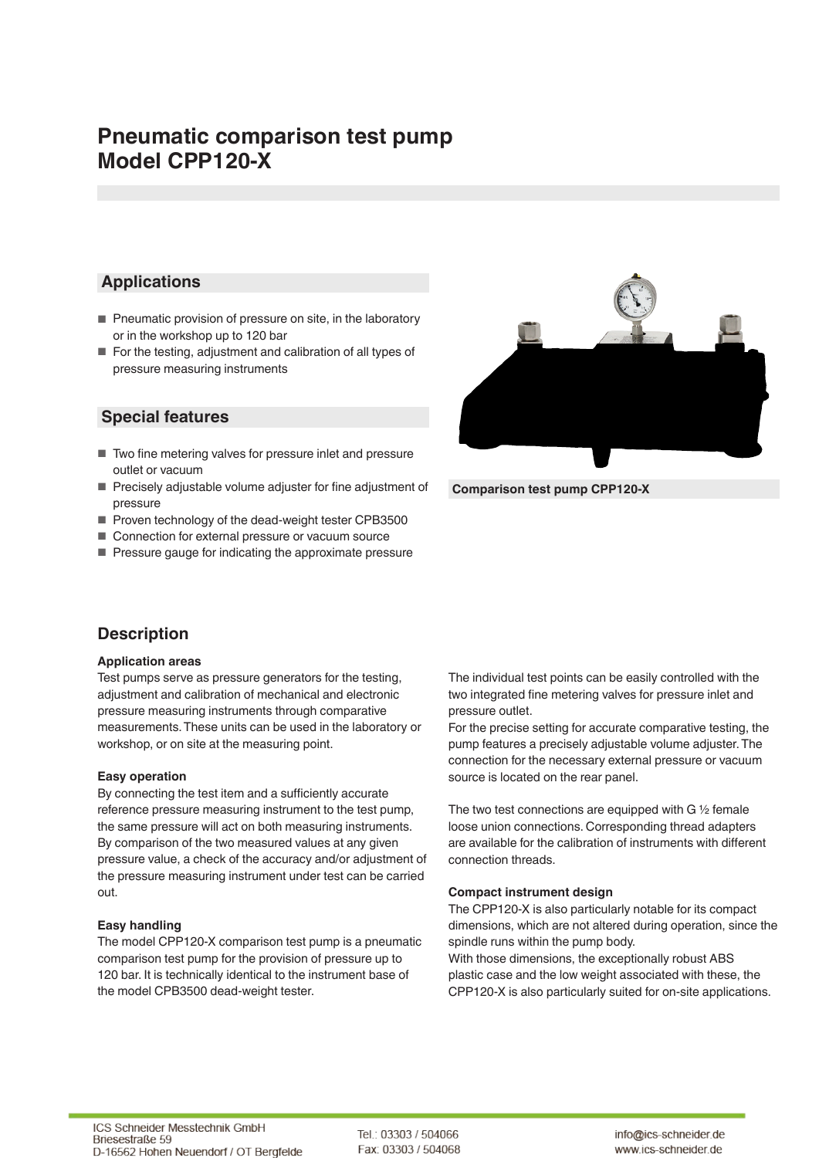# **Pneumatic comparison test pump Model CPP120-X**

### **Applications**

- Pneumatic provision of pressure on site, in the laboratory or in the workshop up to 120 bar
- For the testing, adjustment and calibration of all types of pressure measuring instruments

### **Special features**

- Two fine metering valves for pressure inlet and pressure outlet or vacuum
- Precisely adjustable volume adjuster for fine adjustment of pressure
- Proven technology of the dead-weight tester CPB3500
- Connection for external pressure or vacuum source
- Pressure gauge for indicating the approximate pressure

### **Description**

#### **Application areas**

Test pumps serve as pressure generators for the testing, adjustment and calibration of mechanical and electronic pressure measuring instruments through comparative measurements. These units can be used in the laboratory or workshop, or on site at the measuring point.

#### **Easy operation**

By connecting the test item and a sufficiently accurate reference pressure measuring instrument to the test pump, the same pressure will act on both measuring instruments. By comparison of the two measured values at any given pressure value, a check of the accuracy and/or adjustment of the pressure measuring instrument under test can be carried out.

#### **Easy handling**

The model CPP120-X comparison test pump is a pneumatic comparison test pump for the provision of pressure up to 120 bar. It is technically identical to the instrument base of the model CPB3500 dead-weight tester.

The individual test points can be easily controlled with the two integrated fine metering valves for pressure inlet and pressure outlet.

For the precise setting for accurate comparative testing, the pump features a precisely adjustable volume adjuster. The connection for the necessary external pressure or vacuum source is located on the rear panel.

The two test connections are equipped with G ½ female loose union connections. Corresponding thread adapters are available for the calibration of instruments with different connection threads.

#### **Compact instrument design**

The CPP120-X is also particularly notable for its compact dimensions, which are not altered during operation, since the spindle runs within the pump body.

With those dimensions, the exceptionally robust ABS plastic case and the low weight associated with these, the CPP120-X is also particularly suited for on-site applications.

**Comparison test pump CPP120-X**

Tel.: 03303 / 504066 Fax: 03303 / 504068

info@ics-schneider.de www.ics-schneider.de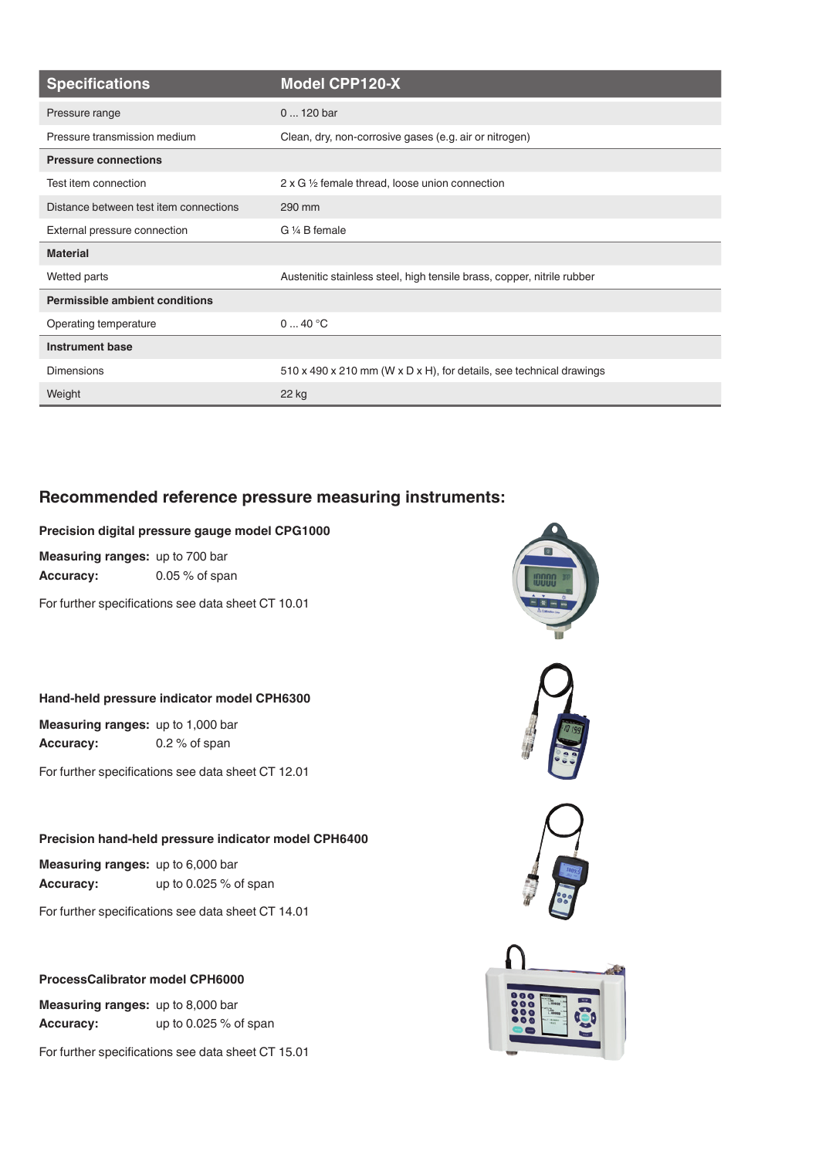| <b>Specifications</b>                  | <b>Model CPP120-X</b>                                                  |
|----------------------------------------|------------------------------------------------------------------------|
| Pressure range                         | $0120$ bar                                                             |
| Pressure transmission medium           | Clean, dry, non-corrosive gases (e.g. air or nitrogen)                 |
| <b>Pressure connections</b>            |                                                                        |
| Test item connection                   | $2 \times G$ 1/2 female thread, loose union connection                 |
| Distance between test item connections | 290 mm                                                                 |
| External pressure connection           | G 1/4 B female                                                         |
| <b>Material</b>                        |                                                                        |
| Wetted parts                           | Austenitic stainless steel, high tensile brass, copper, nitrile rubber |
| <b>Permissible ambient conditions</b>  |                                                                        |
| Operating temperature                  | 040 °C                                                                 |
| <b>Instrument base</b>                 |                                                                        |
| <b>Dimensions</b>                      | 510 x 490 x 210 mm (W x D x H), for details, see technical drawings    |
| Weight                                 | 22 kg                                                                  |

### **Recommended reference pressure measuring instruments:**

#### **Precision digital pressure gauge model CPG1000**

**Measuring ranges:** up to 700 bar **Accuracy:** 0.05 % of span

For further specifications see data sheet CT 10.01

#### **Hand-held pressure indicator model CPH6300**

**Measuring ranges:** up to 1,000 bar **Accuracy:** 0.2 % of span

For further specifications see data sheet CT 12.01

#### **Precision hand-held pressure indicator model CPH6400**

**Measuring ranges:** up to 6,000 bar **Accuracy:** up to 0.025 % of span

For further specifications see data sheet CT 14.01

#### **ProcessCalibrator model CPH6000**

**Measuring ranges:** up to 8,000 bar **Accuracy:** up to 0.025 % of span

For further specifications see data sheet CT 15.01







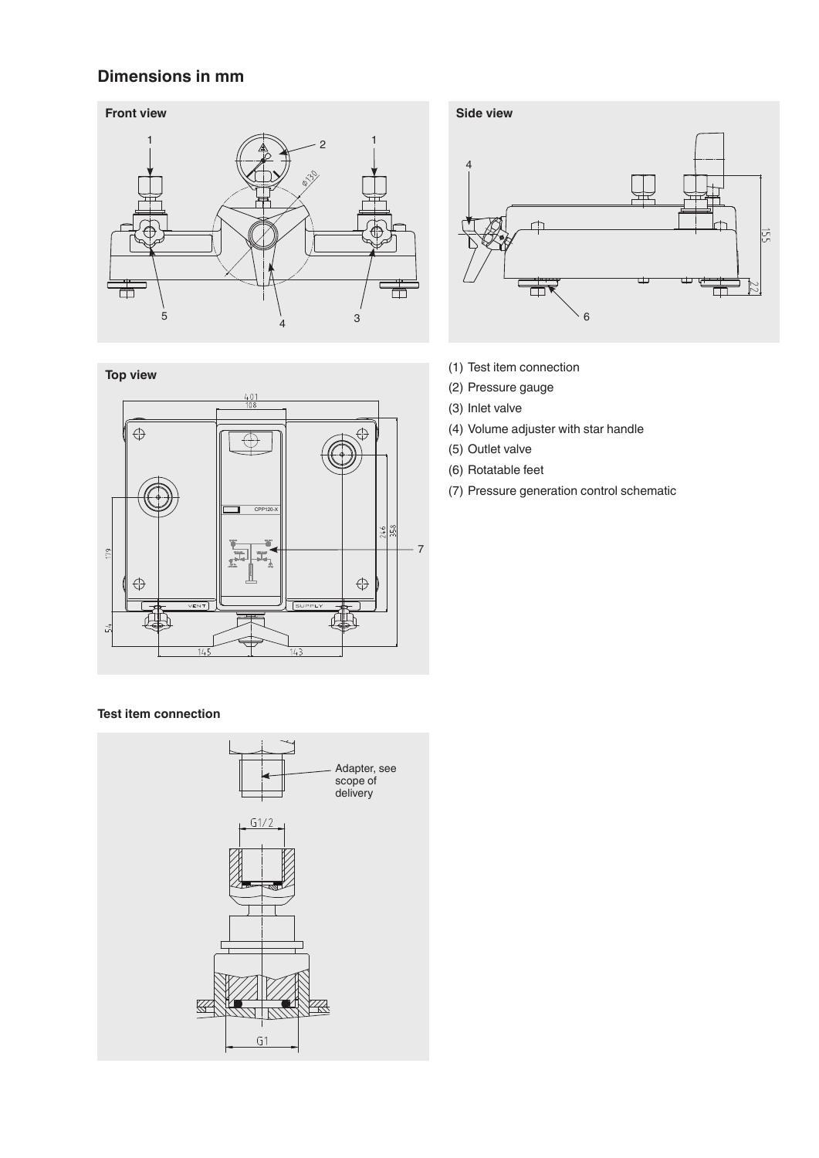### **Dimensions in mm**





#### **Test item connection**





- (1) Test item connection
- (2) Pressure gauge
- (3) Inlet valve
- (4) Volume adjuster with star handle
- (5) Outlet valve
- (6) Rotatable feet
- (7) Pressure generation control schematic